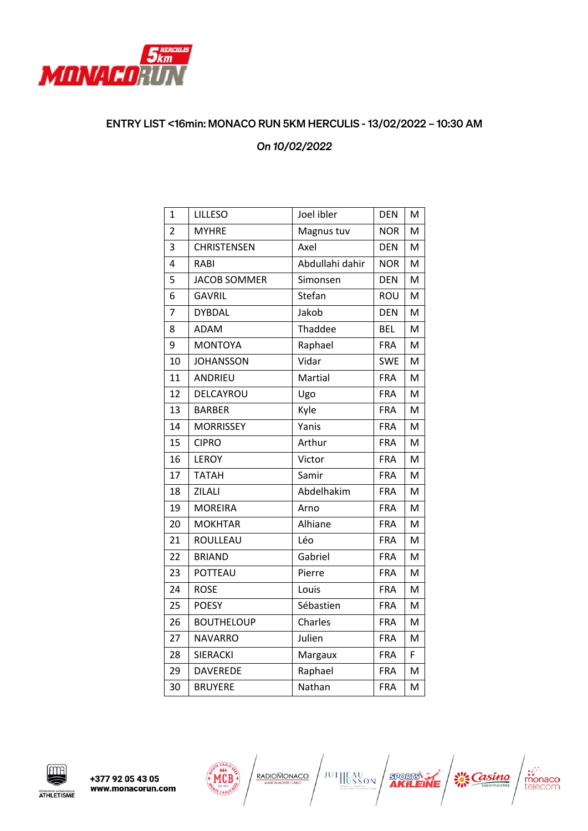

## ENTRY LIST <16min: MONACO RUN 5KM HERCULIS - 13/02/2022 – 10:30 AM

## *On 10/02/2022*

| $\overline{1}$ | <b>LILLESO</b>      | Joel ibler      | <b>DEN</b> | M |
|----------------|---------------------|-----------------|------------|---|
| $\overline{2}$ | <b>MYHRE</b>        | Magnus tuv      | <b>NOR</b> | м |
| 3              | <b>CHRISTENSEN</b>  | Axel            | <b>DEN</b> | M |
| $\overline{4}$ | RABI                | Abdullahi dahir | <b>NOR</b> | м |
| 5              | <b>JACOB SOMMER</b> | Simonsen        | <b>DEN</b> | M |
| 6              | <b>GAVRIL</b>       | Stefan          | <b>ROU</b> | M |
| $\overline{7}$ | <b>DYBDAL</b>       | Jakob           | <b>DEN</b> | M |
| 8              | ADAM                | Thaddee         | <b>BEL</b> | M |
| 9              | <b>MONTOYA</b>      | Raphael         | <b>FRA</b> | M |
| 10             | <b>JOHANSSON</b>    | Vidar           | <b>SWE</b> | M |
| 11             | ANDRIEU             | Martial         | <b>FRA</b> | M |
| 12             | DELCAYROU           | Ugo             | <b>FRA</b> | M |
| 13             | <b>BARBER</b>       | Kyle            | <b>FRA</b> | M |
| 14             | <b>MORRISSEY</b>    | Yanis           | <b>FRA</b> | M |
| 15             | <b>CIPRO</b>        | Arthur          | <b>FRA</b> | M |
| 16             | <b>LEROY</b>        | Victor          | <b>FRA</b> | M |
| 17             | <b>TATAH</b>        | Samir           | <b>FRA</b> | M |
| 18             | ZILALI              | Abdelhakim      | <b>FRA</b> | M |
| 19             | <b>MOREIRA</b>      | Arno            | <b>FRA</b> | M |
| 20             | <b>MOKHTAR</b>      | Alhiane         | <b>FRA</b> | M |
| 21             | ROULLEAU            | Léo             | <b>FRA</b> | M |
| 22             | <b>BRIAND</b>       | Gabriel         | <b>FRA</b> | M |
| 23             | POTTEAU             | Pierre          | <b>FRA</b> | M |
| 24             | <b>ROSE</b>         | Louis           | <b>FRA</b> | M |
| 25             | <b>POESY</b>        | Sébastien       | <b>FRA</b> | M |
| 26             | <b>BOUTHELOUP</b>   | Charles         | <b>FRA</b> | M |
| 27             | <b>NAVARRO</b>      | Julien          | <b>FRA</b> | M |
| 28             | <b>SIERACKI</b>     | Margaux         | <b>FRA</b> | F |
| 29             | <b>DAVEREDE</b>     | Raphael         | <b>FRA</b> | M |
| 30             | <b>BRUYERE</b>      | Nathan          | <b>FRA</b> | M |